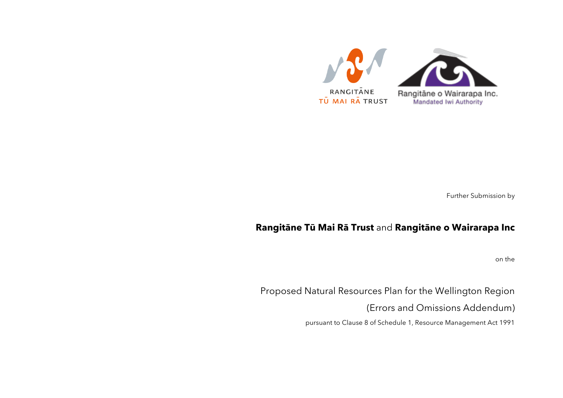

Further Submission by

## **Rangitāne Tū Mai Rā Trust** and **Rangitāne o Wairarapa Inc**

on the

Proposed Natural Resources Plan for the Wellington Region

(Errors and Omissions Addendum)

pursuant to Clause 8 of Schedule 1, Resource Management Act 1991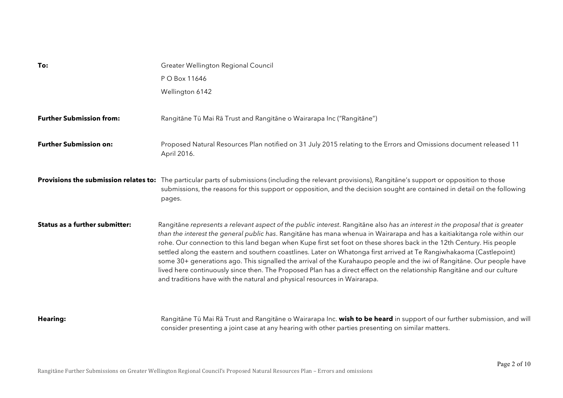| To:                                   | Greater Wellington Regional Council                                                                                                                                                                                                               |
|---------------------------------------|---------------------------------------------------------------------------------------------------------------------------------------------------------------------------------------------------------------------------------------------------|
|                                       | P O Box 11646                                                                                                                                                                                                                                     |
|                                       | Wellington 6142                                                                                                                                                                                                                                   |
|                                       |                                                                                                                                                                                                                                                   |
| <b>Further Submission from:</b>       | Rangitāne Tū Mai Rā Trust and Rangitāne o Wairarapa Inc ("Rangitāne")                                                                                                                                                                             |
|                                       |                                                                                                                                                                                                                                                   |
| <b>Further Submission on:</b>         | Proposed Natural Resources Plan notified on 31 July 2015 relating to the Errors and Omissions document released 11<br>April 2016.                                                                                                                 |
|                                       |                                                                                                                                                                                                                                                   |
|                                       | Provisions the submission relates to: The particular parts of submissions (including the relevant provisions), Rangitane's support or opposition to those                                                                                         |
|                                       | submissions, the reasons for this support or opposition, and the decision sought are contained in detail on the following<br>pages.                                                                                                               |
|                                       |                                                                                                                                                                                                                                                   |
| <b>Status as a further submitter:</b> | Rangitāne represents a relevant aspect of the public interest. Rangitāne also has an interest in the proposal that is greater                                                                                                                     |
|                                       | than the interest the general public has. Rangitane has mana whenua in Wairarapa and has a kaitiakitanga role within our<br>rohe. Our connection to this land began when Kupe first set foot on these shores back in the 12th Century. His people |
|                                       | settled along the eastern and southern coastlines. Later on Whatonga first arrived at Te Rangiwhakaoma (Castlepoint)                                                                                                                              |
|                                       | some 30+ generations ago. This signalled the arrival of the Kurahaupo people and the iwi of Rangitane. Our people have<br>lived here continuously since then. The Proposed Plan has a direct effect on the relationship Rangitane and our culture |
|                                       | and traditions have with the natural and physical resources in Wairarapa.                                                                                                                                                                         |
|                                       |                                                                                                                                                                                                                                                   |
|                                       |                                                                                                                                                                                                                                                   |
| Hearing:                              | Rangitāne Tū Mai Rā Trust and Rangitāne o Wairarapa Inc. wish to be heard in support of our further submission, and will                                                                                                                          |
|                                       | consider presenting a joint case at any hearing with other parties presenting on similar matters.                                                                                                                                                 |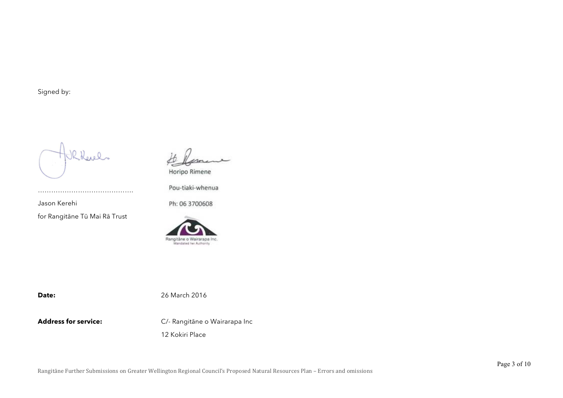Signed by:

Roberto

………………………………………………

Jason Kerehi

for Rangitāne Tū Mai Rā Trust

Horipo Rimene

Pou-tiaki-whenua

Ph: 06 3700608



**Date:** 26 March 2016

**Address for service:** C/- Rangitāne o Wairarapa Inc 12 Kokiri Place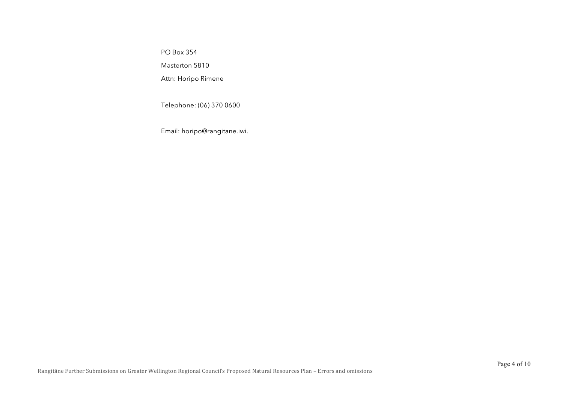PO Box 354 Masterton 5810

Attn: Horipo Rimene

Telephone: (06) 370 0600

Email: horipo@rangitane.iwi.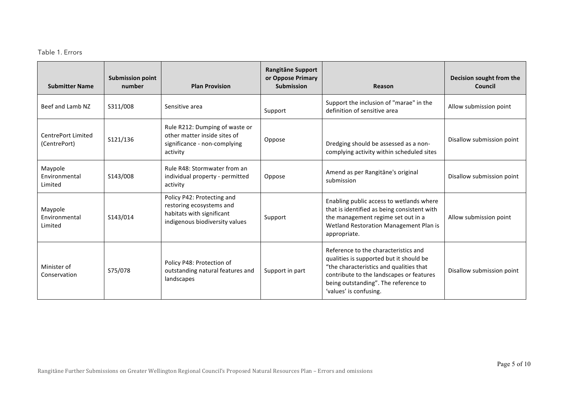## Table 1. Errors

| <b>Submitter Name</b>               | <b>Submission point</b><br>number | <b>Plan Provision</b>                                                                                                 | <b>Rangitāne Support</b><br>or Oppose Primary<br><b>Submission</b> | Reason                                                                                                                                                                                                                                   | Decision sought from the<br>Council |
|-------------------------------------|-----------------------------------|-----------------------------------------------------------------------------------------------------------------------|--------------------------------------------------------------------|------------------------------------------------------------------------------------------------------------------------------------------------------------------------------------------------------------------------------------------|-------------------------------------|
| Beef and Lamb NZ                    | S311/008                          | Sensitive area                                                                                                        | Support                                                            | Support the inclusion of "marae" in the<br>definition of sensitive area                                                                                                                                                                  | Allow submission point              |
| CentrePort Limited<br>(CentrePort)  | S121/136                          | Rule R212: Dumping of waste or<br>other matter inside sites of<br>significance - non-complying<br>activity            | Oppose                                                             | Dredging should be assessed as a non-<br>complying activity within scheduled sites                                                                                                                                                       | Disallow submission point           |
| Maypole<br>Environmental<br>Limited | S143/008                          | Rule R48: Stormwater from an<br>individual property - permitted<br>activity                                           | Oppose                                                             | Amend as per Rangitāne's original<br>submission                                                                                                                                                                                          | Disallow submission point           |
| Maypole<br>Environmental<br>Limited | S143/014                          | Policy P42: Protecting and<br>restoring ecosystems and<br>habitats with significant<br>indigenous biodiversity values | Support                                                            | Enabling public access to wetlands where<br>that is identified as being consistent with<br>the management regime set out in a<br>Wetland Restoration Management Plan is<br>appropriate.                                                  | Allow submission point              |
| Minister of<br>Conservation         | S75/078                           | Policy P48: Protection of<br>outstanding natural features and<br>landscapes                                           | Support in part                                                    | Reference to the characteristics and<br>qualities is supported but it should be<br>"the characteristics and qualities that<br>contribute to the landscapes or features<br>being outstanding". The reference to<br>'values' is confusing. | Disallow submission point           |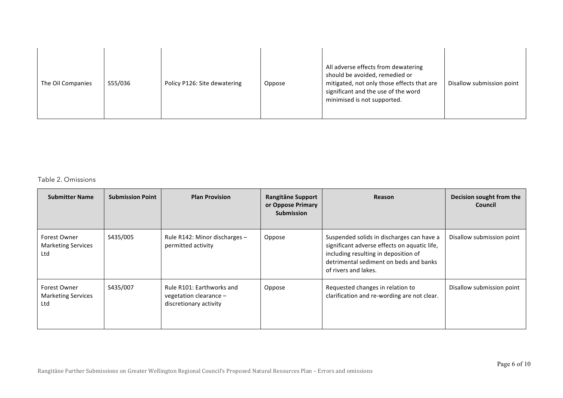| The Oil Companies | S55/036 | Policy P126: Site dewatering | Oppose | All adverse effects from dewatering<br>should be avoided, remedied or<br>mitigated, not only those effects that are<br>significant and the use of the word<br>minimised is not supported. | Disallow submission point |
|-------------------|---------|------------------------------|--------|-------------------------------------------------------------------------------------------------------------------------------------------------------------------------------------------|---------------------------|
|-------------------|---------|------------------------------|--------|-------------------------------------------------------------------------------------------------------------------------------------------------------------------------------------------|---------------------------|

## Table 2. Omissions

| <b>Submitter Name</b>                            | <b>Submission Point</b> | <b>Plan Provision</b>                                                         | Rangitāne Support<br>or Oppose Primary<br><b>Submission</b> | <b>Reason</b>                                                                                                                                                                                       | Decision sought from the<br>Council |
|--------------------------------------------------|-------------------------|-------------------------------------------------------------------------------|-------------------------------------------------------------|-----------------------------------------------------------------------------------------------------------------------------------------------------------------------------------------------------|-------------------------------------|
| Forest Owner<br><b>Marketing Services</b><br>Ltd | S435/005                | Rule R142: Minor discharges $-$<br>permitted activity                         | Oppose                                                      | Suspended solids in discharges can have a<br>significant adverse effects on aquatic life,<br>including resulting in deposition of<br>detrimental sediment on beds and banks<br>of rivers and lakes. | Disallow submission point           |
| Forest Owner<br><b>Marketing Services</b><br>Ltd | S435/007                | Rule R101: Earthworks and<br>vegetation clearance -<br>discretionary activity | Oppose                                                      | Requested changes in relation to<br>clarification and re-wording are not clear.                                                                                                                     | Disallow submission point           |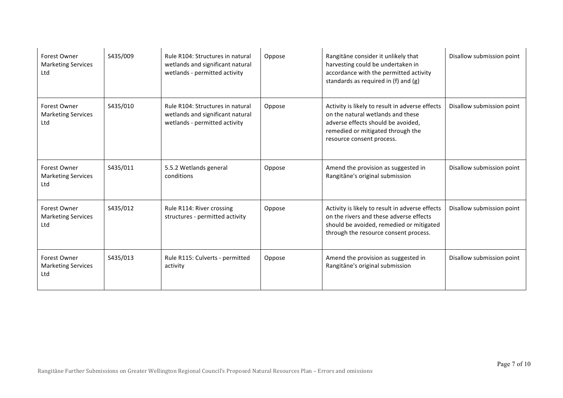| Forest Owner<br><b>Marketing Services</b><br>Ltd | S435/009 | Rule R104: Structures in natural<br>wetlands and significant natural<br>wetlands - permitted activity | Oppose | Rangitāne consider it unlikely that<br>harvesting could be undertaken in<br>accordance with the permitted activity<br>standards as required in (f) and (g)                                   | Disallow submission point |
|--------------------------------------------------|----------|-------------------------------------------------------------------------------------------------------|--------|----------------------------------------------------------------------------------------------------------------------------------------------------------------------------------------------|---------------------------|
| Forest Owner<br><b>Marketing Services</b><br>Ltd | S435/010 | Rule R104: Structures in natural<br>wetlands and significant natural<br>wetlands - permitted activity | Oppose | Activity is likely to result in adverse effects<br>on the natural wetlands and these<br>adverse effects should be avoided,<br>remedied or mitigated through the<br>resource consent process. | Disallow submission point |
| Forest Owner<br><b>Marketing Services</b><br>Ltd | S435/011 | 5.5.2 Wetlands general<br>conditions                                                                  | Oppose | Amend the provision as suggested in<br>Rangitāne's original submission                                                                                                                       | Disallow submission point |
| Forest Owner<br><b>Marketing Services</b><br>Ltd | S435/012 | Rule R114: River crossing<br>structures - permitted activity                                          | Oppose | Activity is likely to result in adverse effects<br>on the rivers and these adverse effects<br>should be avoided, remedied or mitigated<br>through the resource consent process.              | Disallow submission point |
| Forest Owner<br><b>Marketing Services</b><br>Ltd | S435/013 | Rule R115: Culverts - permitted<br>activity                                                           | Oppose | Amend the provision as suggested in<br>Rangitāne's original submission                                                                                                                       | Disallow submission point |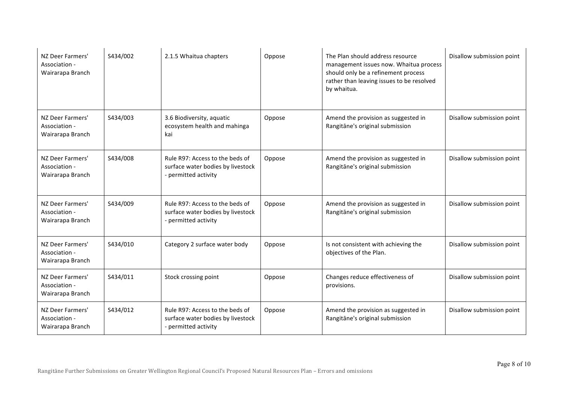| NZ Deer Farmers'<br>Association -<br>Wairarapa Branch | S434/002 | 2.1.5 Whaitua chapters                                                                       | Oppose | The Plan should address resource<br>management issues now. Whaitua process<br>should only be a refinement process<br>rather than leaving issues to be resolved<br>by whaitua. | Disallow submission point |
|-------------------------------------------------------|----------|----------------------------------------------------------------------------------------------|--------|-------------------------------------------------------------------------------------------------------------------------------------------------------------------------------|---------------------------|
| NZ Deer Farmers'<br>Association -<br>Wairarapa Branch | S434/003 | 3.6 Biodiversity, aquatic<br>ecosystem health and mahinga<br>kai                             | Oppose | Amend the provision as suggested in<br>Rangitāne's original submission                                                                                                        | Disallow submission point |
| NZ Deer Farmers'<br>Association -<br>Wairarapa Branch | S434/008 | Rule R97: Access to the beds of<br>surface water bodies by livestock<br>- permitted activity | Oppose | Amend the provision as suggested in<br>Rangitāne's original submission                                                                                                        | Disallow submission point |
| NZ Deer Farmers'<br>Association -<br>Wairarapa Branch | S434/009 | Rule R97: Access to the beds of<br>surface water bodies by livestock<br>- permitted activity | Oppose | Amend the provision as suggested in<br>Rangitāne's original submission                                                                                                        | Disallow submission point |
| NZ Deer Farmers'<br>Association -<br>Wairarapa Branch | S434/010 | Category 2 surface water body                                                                | Oppose | Is not consistent with achieving the<br>objectives of the Plan.                                                                                                               | Disallow submission point |
| NZ Deer Farmers'<br>Association -<br>Wairarapa Branch | S434/011 | Stock crossing point                                                                         | Oppose | Changes reduce effectiveness of<br>provisions.                                                                                                                                | Disallow submission point |
| NZ Deer Farmers'<br>Association -<br>Wairarapa Branch | S434/012 | Rule R97: Access to the beds of<br>surface water bodies by livestock<br>- permitted activity | Oppose | Amend the provision as suggested in<br>Rangitāne's original submission                                                                                                        | Disallow submission point |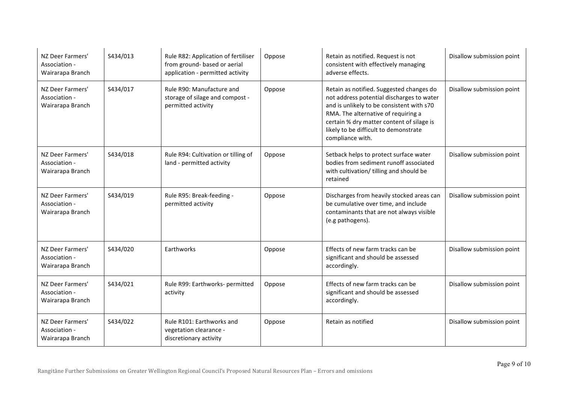| NZ Deer Farmers'<br>Association -<br>Wairarapa Branch | S434/013 | Rule R82: Application of fertiliser<br>from ground- based or aerial<br>application - permitted activity | Oppose | Retain as notified. Request is not<br>consistent with effectively managing<br>adverse effects.                                                                                                                                                                                      | Disallow submission point |
|-------------------------------------------------------|----------|---------------------------------------------------------------------------------------------------------|--------|-------------------------------------------------------------------------------------------------------------------------------------------------------------------------------------------------------------------------------------------------------------------------------------|---------------------------|
| NZ Deer Farmers'<br>Association -<br>Wairarapa Branch | S434/017 | Rule R90: Manufacture and<br>storage of silage and compost -<br>permitted activity                      | Oppose | Retain as notified. Suggested changes do<br>not address potential discharges to water<br>and is unlikely to be consistent with s70<br>RMA. The alternative of requiring a<br>certain % dry matter content of silage is<br>likely to be difficult to demonstrate<br>compliance with. | Disallow submission point |
| NZ Deer Farmers'<br>Association -<br>Wairarapa Branch | S434/018 | Rule R94: Cultivation or tilling of<br>land - permitted activity                                        | Oppose | Setback helps to protect surface water<br>bodies from sediment runoff associated<br>with cultivation/ tilling and should be<br>retained                                                                                                                                             | Disallow submission point |
| NZ Deer Farmers'<br>Association -<br>Wairarapa Branch | S434/019 | Rule R95: Break-feeding -<br>permitted activity                                                         | Oppose | Discharges from heavily stocked areas can<br>be cumulative over time, and include<br>contaminants that are not always visible<br>(e.g pathogens).                                                                                                                                   | Disallow submission point |
| N7 Deer Farmers'<br>Association -<br>Wairarapa Branch | S434/020 | Earthworks                                                                                              | Oppose | Effects of new farm tracks can be<br>significant and should be assessed<br>accordingly.                                                                                                                                                                                             | Disallow submission point |
| NZ Deer Farmers'<br>Association -<br>Wairarapa Branch | S434/021 | Rule R99: Earthworks- permitted<br>activity                                                             | Oppose | Effects of new farm tracks can be<br>significant and should be assessed<br>accordingly.                                                                                                                                                                                             | Disallow submission point |
| NZ Deer Farmers'<br>Association -<br>Wairarapa Branch | S434/022 | Rule R101: Earthworks and<br>vegetation clearance -<br>discretionary activity                           | Oppose | Retain as notified                                                                                                                                                                                                                                                                  | Disallow submission point |